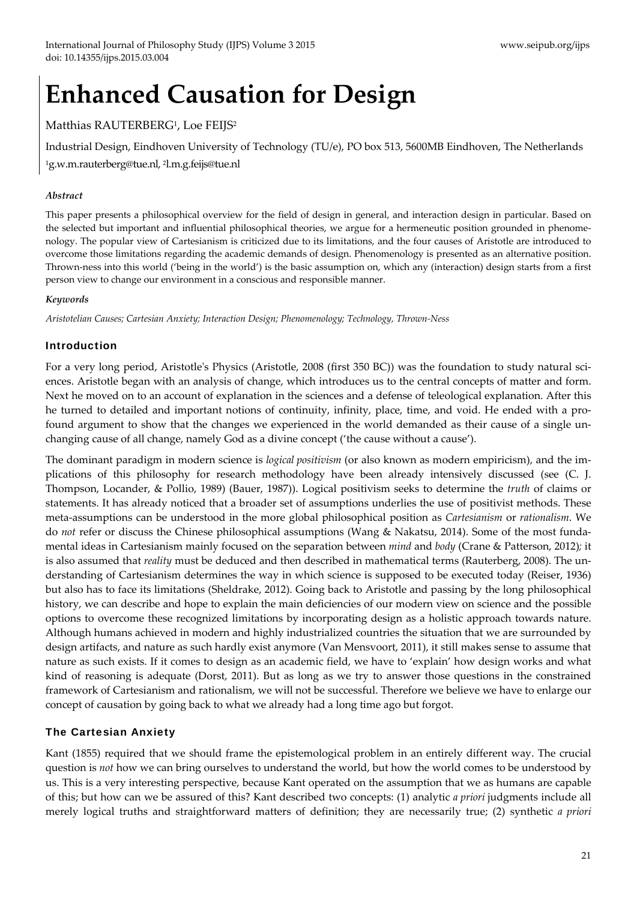## **Enhanced Causation for Design**

### Matthias RAUTERBERG<sup>1</sup>, Loe FEIJS<sup>2</sup>

Industrial Design, Eindhoven University of Technology (TU/e), PO box 513, 5600MB Eindhoven, The Netherlands 1g.w.m.rauterberg@tue.nl, 2l.m.g.feijs@tue.nl

#### *Abstract*

This paper presents a philosophical overview for the field of design in general, and interaction design in particular. Based on the selected but important and influential philosophical theories, we argue for a hermeneutic position grounded in phenomenology. The popular view of Cartesianism is criticized due to its limitations, and the four causes of Aristotle are introduced to overcome those limitations regarding the academic demands of design. Phenomenology is presented as an alternative position. Thrown‐ness into this world ('being in the world') is the basic assumption on, which any (interaction) design starts from a first person view to change our environment in a conscious and responsible manner.

#### *Keywords*

*Aristotelian Causes; Cartesian Anxiety; Interaction Design; Phenomenology; Technology, Thrown‐Ness*

#### Introduction

For a very long period, Aristotle's Physics (Aristotle, 2008 (first 350 BC)) was the foundation to study natural sciences. Aristotle began with an analysis of change, which introduces us to the central concepts of matter and form. Next he moved on to an account of explanation in the sciences and a defense of teleological explanation. After this he turned to detailed and important notions of continuity, infinity, place, time, and void. He ended with a profound argument to show that the changes we experienced in the world demanded as their cause of a single un‐ changing cause of all change, namely God as a divine concept ('the cause without a cause').

The dominant paradigm in modern science is *logical positivism* (or also known as modern empiricism), and the im‐ plications of this philosophy for research methodology have been already intensively discussed (see (C. J. Thompson, Locander, & Pollio, 1989) (Bauer, 1987)). Logical positivism seeks to determine the *truth* of claims or statements. It has already noticed that a broader set of assumptions underlies the use of positivist methods. These meta‐assumptions can be understood in the more global philosophical position as *Cartesianism* or *rationalism*. We do *not* refer or discuss the Chinese philosophical assumptions (Wang & Nakatsu, 2014). Some of the most funda‐ mental ideas in Cartesianism mainly focused on the separation between *mind* and *body* (Crane & Patterson, 2012)*;* it is also assumed that *reality* must be deduced and then described in mathematical terms (Rauterberg, 2008). The understanding of Cartesianism determines the way in which science is supposed to be executed today (Reiser, 1936) but also has to face its limitations (Sheldrake, 2012). Going back to Aristotle and passing by the long philosophical history, we can describe and hope to explain the main deficiencies of our modern view on science and the possible options to overcome these recognized limitations by incorporating design as a holistic approach towards nature. Although humans achieved in modern and highly industrialized countries the situation that we are surrounded by design artifacts, and nature as such hardly exist anymore (Van Mensvoort, 2011), it still makes sense to assume that nature as such exists. If it comes to design as an academic field, we have to 'explain' how design works and what kind of reasoning is adequate (Dorst, 2011). But as long as we try to answer those questions in the constrained framework of Cartesianism and rationalism, we will not be successful. Therefore we believe we have to enlarge our concept of causation by going back to what we already had a long time ago but forgot.

#### The Cartesian Anxiety

Kant (1855) required that we should frame the epistemological problem in an entirely different way. The crucial question is *not* how we can bring ourselves to understand the world, but how the world comes to be understood by us. This is a very interesting perspective, because Kant operated on the assumption that we as humans are capable of this; but how can we be assured of this? Kant described two concepts: (1) analytic *a priori* judgments include all merely logical truths and straightforward matters of definition; they are necessarily true; (2) synthetic *a priori*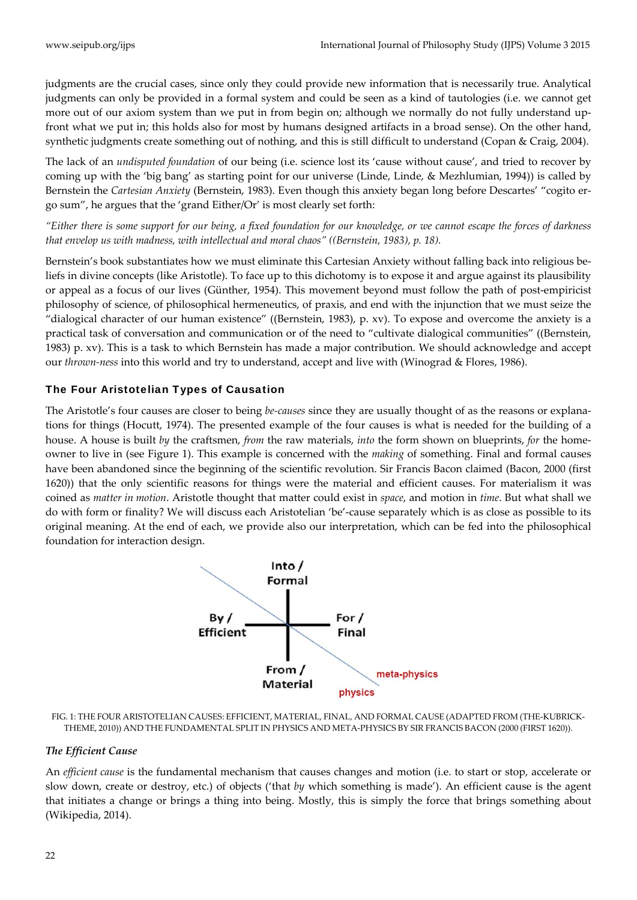judgments are the crucial cases, since only they could provide new information that is necessarily true. Analytical judgments can only be provided in a formal system and could be seen as a kind of tautologies (i.e. we cannot get more out of our axiom system than we put in from begin on; although we normally do not fully understand upfront what we put in; this holds also for most by humans designed artifacts in a broad sense). On the other hand, synthetic judgments create something out of nothing, and this is still difficult to understand (Copan & Craig, 2004).

The lack of an *undisputed foundation* of our being (i.e. science lost its 'cause without cause', and tried to recover by coming up with the 'big bang' as starting point for our universe (Linde, Linde, & Mezhlumian, 1994)) is called by Bernstein the *Cartesian Anxiety* (Bernstein, 1983). Even though this anxiety began long before Descartes' "cogito er‐ go sum", he argues that the 'grand Either/Or' is most clearly set forth:

"Either there is some support for our being, a fixed foundation for our knowledge, or we cannot escape the forces of darkness *that envelop us with madness, with intellectual and moral chaos" ((Bernstein, 1983), p. 18).* 

Bernstein's book substantiates how we must eliminate this Cartesian Anxiety without falling back into religious beliefs in divine concepts (like Aristotle). To face up to this dichotomy is to expose it and argue against its plausibility or appeal as a focus of our lives (Günther, 1954). This movement beyond must follow the path of post‐empiricist philosophy of science, of philosophical hermeneutics, of praxis, and end with the injunction that we must seize the "dialogical character of our human existence" ((Bernstein, 1983), p. xv). To expose and overcome the anxiety is a practical task of conversation and communication or of the need to "cultivate dialogical communities" ((Bernstein, 1983) p. xv). This is a task to which Bernstein has made a major contribution. We should acknowledge and accept our *thrown‐ness* into this world and try to understand, accept and live with (Winograd & Flores, 1986).

#### The Four Aristotelian Types of Causation

The Aristotle's four causes are closer to being *be‐causes* since they are usually thought of as the reasons or explana‐ tions for things (Hocutt, 1974). The presented example of the four causes is what is needed for the building of a house. A house is built *by* the craftsmen, *from* the raw materials, *into* the form shown on blueprints, *for* the home‐ owner to live in (see Figure 1). This example is concerned with the *making* of something. Final and formal causes have been abandoned since the beginning of the scientific revolution. Sir Francis Bacon claimed (Bacon, 2000 (first 1620)) that the only scientific reasons for things were the material and efficient causes. For materialism it was coined as *matter in motion*. Aristotle thought that matter could exist in *space*, and motion in *time*. But what shall we do with form or finality? We will discuss each Aristotelian 'be'-cause separately which is as close as possible to its original meaning. At the end of each, we provide also our interpretation, which can be fed into the philosophical foundation for interaction design.



FIG. 1: THE FOUR ARISTOTELIAN CAUSES: EFFICIENT, MATERIAL, FINAL, AND FORMAL CAUSE (ADAPTED FROM (THE‐KUBRICK‐ THEME, 2010)) AND THE FUNDAMENTAL SPLIT IN PHYSICS AND META‐PHYSICS BY SIR FRANCIS BACON (2000 (FIRST 1620)).

#### *The Efficient Cause*

An *efficient cause* is the fundamental mechanism that causes changes and motion (i.e. to start or stop, accelerate or slow down, create or destroy, etc.) of objects ('that *by* which something is made'). An efficient cause is the agent that initiates a change or brings a thing into being. Mostly, this is simply the force that brings something about (Wikipedia, 2014).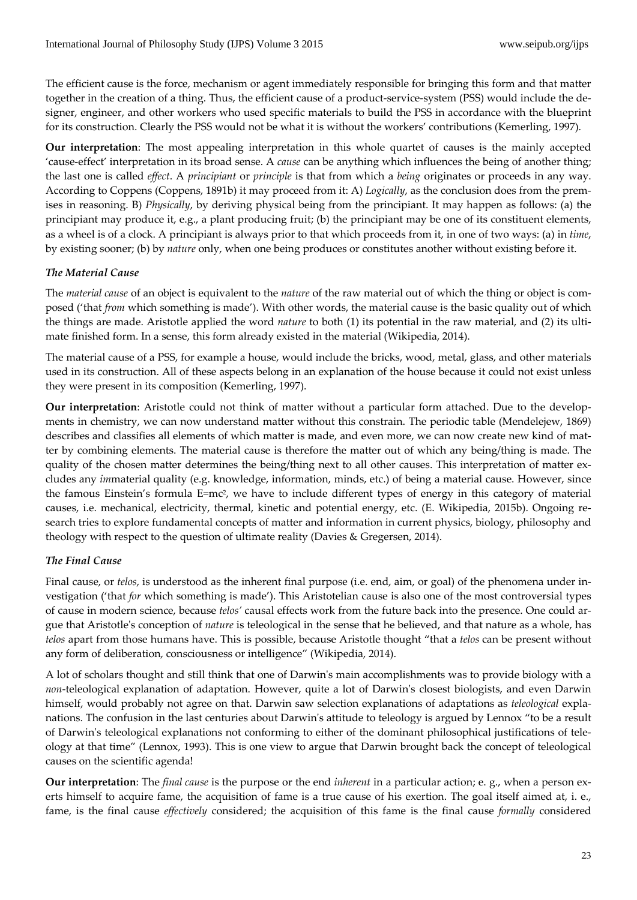The efficient cause is the force, mechanism or agent immediately responsible for bringing this form and that matter together in the creation of a thing. Thus, the efficient cause of a product-service-system (PSS) would include the designer, engineer, and other workers who used specific materials to build the PSS in accordance with the blueprint for its construction. Clearly the PSS would not be what it is without the workers' contributions (Kemerling, 1997).

**Our interpretation**: The most appealing interpretation in this whole quartet of causes is the mainly accepted 'cause‐effect' interpretation in its broad sense. A *cause* can be anything which influences the being of another thing; the last one is called *effect*. A *principiant* or *principle* is that from which a *being* originates or proceeds in any way. According to Coppens (Coppens, 1891b) it may proceed from it: A) *Logically*, as the conclusion does from the prem‐ ises in reasoning. B) *Physically*, by deriving physical being from the principiant. It may happen as follows: (a) the principiant may produce it, e.g., a plant producing fruit; (b) the principiant may be one of its constituent elements, as a wheel is of a clock. A principiant is always prior to that which proceeds from it, in one of two ways: (a) in *time*, by existing sooner; (b) by *nature* only, when one being produces or constitutes another without existing before it.

#### *The Material Cause*

The *material cause* of an object is equivalent to the *nature* of the raw material out of which the thing or object is composed ('that *from* which something is made'). With other words, the material cause is the basic quality out of which the things are made. Aristotle applied the word *nature* to both (1) its potential in the raw material, and (2) its ultimate finished form. In a sense, this form already existed in the material (Wikipedia, 2014).

The material cause of a PSS, for example a house, would include the bricks, wood, metal, glass, and other materials used in its construction. All of these aspects belong in an explanation of the house because it could not exist unless they were present in its composition (Kemerling, 1997).

**Our interpretation**: Aristotle could not think of matter without a particular form attached. Due to the developments in chemistry, we can now understand matter without this constrain. The periodic table (Mendelejew, 1869) describes and classifies all elements of which matter is made, and even more, we can now create new kind of matter by combining elements. The material cause is therefore the matter out of which any being/thing is made. The quality of the chosen matter determines the being/thing next to all other causes. This interpretation of matter ex‐ cludes any *im*material quality (e.g. knowledge, information, minds, etc.) of being a material cause. However, since the famous Einstein's formula E=mc2, we have to include different types of energy in this category of material causes, i.e. mechanical, electricity, thermal, kinetic and potential energy, etc. (E. Wikipedia, 2015b). Ongoing research tries to explore fundamental concepts of matter and information in current physics, biology, philosophy and theology with respect to the question of ultimate reality (Davies & Gregersen, 2014).

#### *The Final Cause*

Final cause, or *telos*, is understood as the inherent final purpose (i.e. end, aim, or goal) of the phenomena under investigation ('that *for* which something is made'). This Aristotelian cause is also one of the most controversial types of cause in modern science, because *telos'* causal effects work from the future back into the presence. One could ar‐ gue that Aristotleʹs conception of *nature* is teleological in the sense that he believed, and that nature as a whole, has *telos* apart from those humans have. This is possible, because Aristotle thought "that a *telos* can be present without any form of deliberation, consciousness or intelligence" (Wikipedia, 2014).

A lot of scholars thought and still think that one of Darwinʹs main accomplishments was to provide biology with a *non*-teleological explanation of adaptation. However, quite a lot of Darwin's closest biologists, and even Darwin himself, would probably not agree on that. Darwin saw selection explanations of adaptations as *teleological* expla‐ nations. The confusion in the last centuries about Darwin's attitude to teleology is argued by Lennox "to be a result of Darwinʹs teleological explanations not conforming to either of the dominant philosophical justifications of tele‐ ology at that time" (Lennox, 1993). This is one view to argue that Darwin brought back the concept of teleological causes on the scientific agenda!

**Our interpretation**: The *final cause* is the purpose or the end *inherent* in a particular action; e. g., when a person ex‐ erts himself to acquire fame, the acquisition of fame is a true cause of his exertion. The goal itself aimed at, i. e., fame, is the final cause *effectively* considered; the acquisition of this fame is the final cause *formally* considered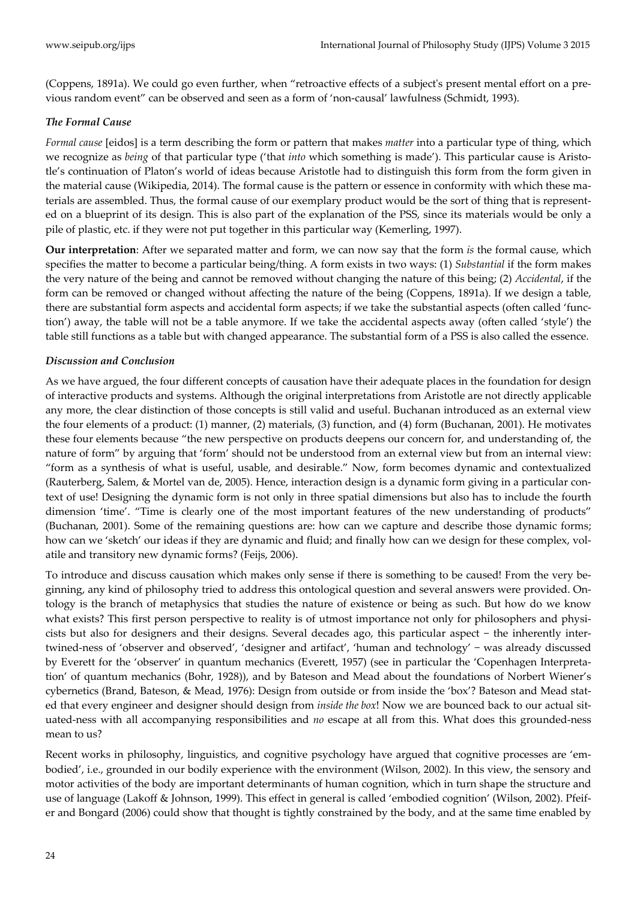(Coppens, 1891a). We could go even further, when "retroactive effects of a subjectʹs present mental effort on a pre‐ vious random event" can be observed and seen as a form of 'non‐causal' lawfulness (Schmidt, 1993).

#### *The Formal Cause*

*Formal cause* [eidos] is a term describing the form or pattern that makes *matter* into a particular type of thing, which we recognize as *being* of that particular type ('that *into* which something is made'). This particular cause is Aristotle's continuation of Platon's world of ideas because Aristotle had to distinguish this form from the form given in the material cause (Wikipedia, 2014). The formal cause is the pattern or essence in conformity with which these materials are assembled. Thus, the formal cause of our exemplary product would be the sort of thing that is represent‐ ed on a blueprint of its design. This is also part of the explanation of the PSS, since its materials would be only a pile of plastic, etc. if they were not put together in this particular way (Kemerling, 1997).

**Our interpretation**: After we separated matter and form, we can now say that the form *is* the formal cause, which specifies the matter to become a particular being/thing. A form exists in two ways: (1) *Substantial* if the form makes the very nature of the being and cannot be removed without changing the nature of this being; (2) *Accidental*, if the form can be removed or changed without affecting the nature of the being (Coppens, 1891a). If we design a table, there are substantial form aspects and accidental form aspects; if we take the substantial aspects (often called 'function') away, the table will not be a table anymore. If we take the accidental aspects away (often called 'style') the table still functions as a table but with changed appearance. The substantial form of a PSS is also called the essence.

#### *Discussion and Conclusion*

As we have argued, the four different concepts of causation have their adequate places in the foundation for design of interactive products and systems. Although the original interpretations from Aristotle are not directly applicable any more, the clear distinction of those concepts is still valid and useful. Buchanan introduced as an external view the four elements of a product: (1) manner, (2) materials, (3) function, and (4) form (Buchanan, 2001). He motivates these four elements because "the new perspective on products deepens our concern for, and understanding of, the nature of form" by arguing that 'form' should not be understood from an external view but from an internal view: "form as a synthesis of what is useful, usable, and desirable." Now, form becomes dynamic and contextualized (Rauterberg, Salem, & Mortel van de, 2005). Hence, interaction design is a dynamic form giving in a particular con‐ text of use! Designing the dynamic form is not only in three spatial dimensions but also has to include the fourth dimension 'time'. "Time is clearly one of the most important features of the new understanding of products" (Buchanan, 2001). Some of the remaining questions are: how can we capture and describe those dynamic forms; how can we 'sketch' our ideas if they are dynamic and fluid; and finally how can we design for these complex, volatile and transitory new dynamic forms? (Feijs, 2006).

To introduce and discuss causation which makes only sense if there is something to be caused! From the very be‐ ginning, any kind of philosophy tried to address this ontological question and several answers were provided. On‐ tology is the branch of metaphysics that studies the nature of existence or being as such. But how do we know what exists? This first person perspective to reality is of utmost importance not only for philosophers and physicists but also for designers and their designs. Several decades ago, this particular aspect - the inherently intertwined‐ness of 'observer and observed', 'designer and artifact', 'human and technology' − was already discussed by Everett for the 'observer' in quantum mechanics (Everett, 1957) (see in particular the 'Copenhagen Interpreta‐ tion' of quantum mechanics (Bohr, 1928)), and by Bateson and Mead about the foundations of Norbert Wiener's cybernetics (Brand, Bateson, & Mead, 1976): Design from outside or from inside the 'box'? Bateson and Mead stated that every engineer and designer should design from *inside the box*! Now we are bounced back to our actual sit‐ uated-ness with all accompanying responsibilities and *no* escape at all from this. What does this grounded-ness mean to us?

Recent works in philosophy, linguistics, and cognitive psychology have argued that cognitive processes are 'embodied', i.e., grounded in our bodily experience with the environment (Wilson, 2002). In this view, the sensory and motor activities of the body are important determinants of human cognition, which in turn shape the structure and use of language (Lakoff & Johnson, 1999). This effect in general is called 'embodied cognition' (Wilson, 2002). Pfeifer and Bongard (2006) could show that thought is tightly constrained by the body, and at the same time enabled by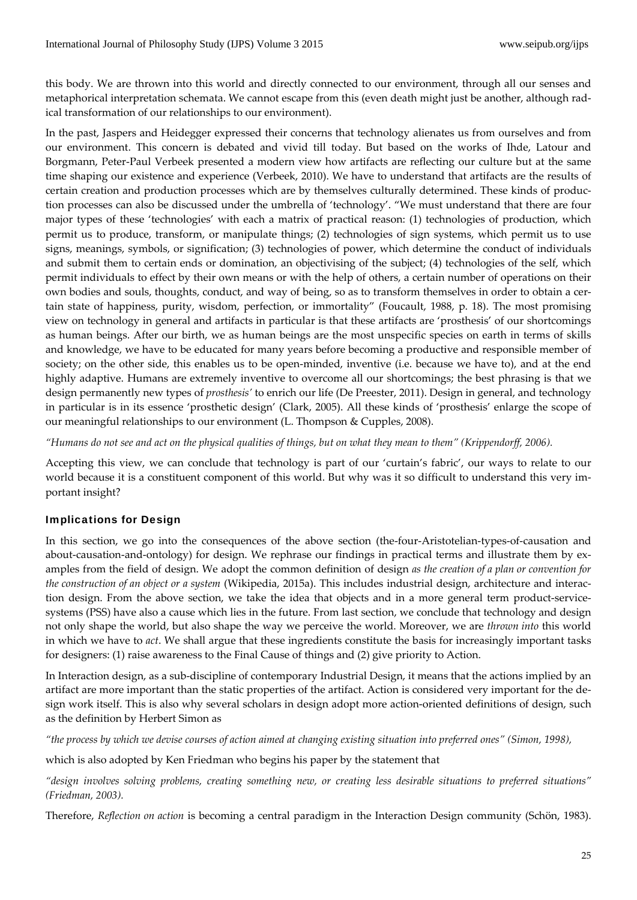this body. We are thrown into this world and directly connected to our environment, through all our senses and metaphorical interpretation schemata. We cannot escape from this (even death might just be another, although rad‐ ical transformation of our relationships to our environment).

In the past, Jaspers and Heidegger expressed their concerns that technology alienates us from ourselves and from our environment. This concern is debated and vivid till today. But based on the works of Ihde, Latour and Borgmann, Peter‐Paul Verbeek presented a modern view how artifacts are reflecting our culture but at the same time shaping our existence and experience (Verbeek, 2010). We have to understand that artifacts are the results of certain creation and production processes which are by themselves culturally determined. These kinds of produc‐ tion processes can also be discussed under the umbrella of 'technology'. "We must understand that there are four major types of these 'technologies' with each a matrix of practical reason: (1) technologies of production, which permit us to produce, transform, or manipulate things; (2) technologies of sign systems, which permit us to use signs, meanings, symbols, or signification; (3) technologies of power, which determine the conduct of individuals and submit them to certain ends or domination, an objectivising of the subject; (4) technologies of the self, which permit individuals to effect by their own means or with the help of others, a certain number of operations on their own bodies and souls, thoughts, conduct, and way of being, so as to transform themselves in order to obtain a certain state of happiness, purity, wisdom, perfection, or immortality" (Foucault, 1988, p. 18). The most promising view on technology in general and artifacts in particular is that these artifacts are 'prosthesis' of our shortcomings as human beings. After our birth, we as human beings are the most unspecific species on earth in terms of skills and knowledge, we have to be educated for many years before becoming a productive and responsible member of society; on the other side, this enables us to be open-minded, inventive (i.e. because we have to), and at the end highly adaptive. Humans are extremely inventive to overcome all our shortcomings; the best phrasing is that we design permanently new types of *prosthesis'* to enrich our life (De Preester, 2011). Design in general, and technology in particular is in its essence 'prosthetic design' (Clark, 2005). All these kinds of 'prosthesis' enlarge the scope of our meaningful relationships to our environment (L. Thompson & Cupples, 2008).

"Humans do not see and act on the physical qualities of things, but on what they mean to them" (Krippendorff, 2006).

Accepting this view, we can conclude that technology is part of our 'curtain's fabric', our ways to relate to our world because it is a constituent component of this world. But why was it so difficult to understand this very important insight?

#### Implications for Design

In this section, we go into the consequences of the above section (the-four-Aristotelian-types-of-causation and about-causation-and-ontology) for design. We rephrase our findings in practical terms and illustrate them by examples from the field of design. We adopt the common definition of design *as the creation of a plan or convention for the construction of an object or a system* (Wikipedia, 2015a). This includes industrial design, architecture and interac‐ tion design. From the above section, we take the idea that objects and in a more general term product-servicesystems (PSS) have also a cause which lies in the future. From last section, we conclude that technology and design not only shape the world, but also shape the way we perceive the world. Moreover, we are *thrown into* this world in which we have to *act*. We shall argue that these ingredients constitute the basis for increasingly important tasks for designers: (1) raise awareness to the Final Cause of things and (2) give priority to Action.

In Interaction design, as a sub-discipline of contemporary Industrial Design, it means that the actions implied by an artifact are more important than the static properties of the artifact. Action is considered very important for the de‐ sign work itself. This is also why several scholars in design adopt more action-oriented definitions of design, such as the definition by Herbert Simon as

"the process by which we devise courses of action aimed at changing existing situation into preferred ones" (Simon, 1998),

which is also adopted by Ken Friedman who begins his paper by the statement that

"design involves solving problems, creating something new, or creating less desirable situations to preferred situations" *(Friedman, 2003).* 

Therefore, *Reflection on action* is becoming a central paradigm in the Interaction Design community (Schön, 1983).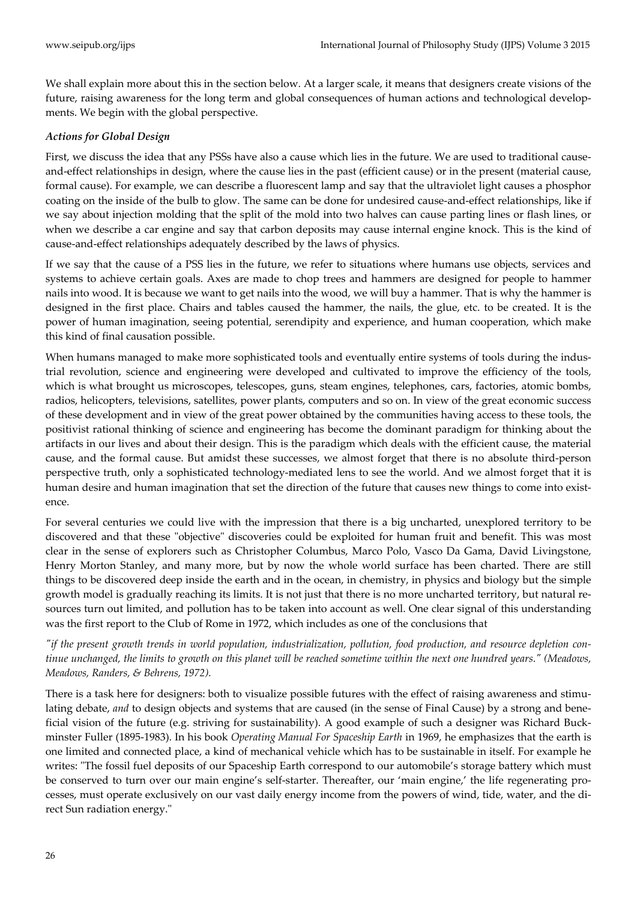We shall explain more about this in the section below. At a larger scale, it means that designers create visions of the future, raising awareness for the long term and global consequences of human actions and technological developments. We begin with the global perspective.

#### *Actions for Global Design*

First, we discuss the idea that any PSSs have also a cause which lies in the future. We are used to traditional causeand‐effect relationships in design, where the cause lies in the past (efficient cause) or in the present (material cause, formal cause). For example, we can describe a fluorescent lamp and say that the ultraviolet light causes a phosphor coating on the inside of the bulb to glow. The same can be done for undesired cause-and-effect relationships, like if we say about injection molding that the split of the mold into two halves can cause parting lines or flash lines, or when we describe a car engine and say that carbon deposits may cause internal engine knock. This is the kind of cause‐and‐effect relationships adequately described by the laws of physics.

If we say that the cause of a PSS lies in the future, we refer to situations where humans use objects, services and systems to achieve certain goals. Axes are made to chop trees and hammers are designed for people to hammer nails into wood. It is because we want to get nails into the wood, we will buy a hammer. That is why the hammer is designed in the first place. Chairs and tables caused the hammer, the nails, the glue, etc. to be created. It is the power of human imagination, seeing potential, serendipity and experience, and human cooperation, which make this kind of final causation possible.

When humans managed to make more sophisticated tools and eventually entire systems of tools during the industrial revolution, science and engineering were developed and cultivated to improve the efficiency of the tools, which is what brought us microscopes, telescopes, guns, steam engines, telephones, cars, factories, atomic bombs, radios, helicopters, televisions, satellites, power plants, computers and so on. In view of the great economic success of these development and in view of the great power obtained by the communities having access to these tools, the positivist rational thinking of science and engineering has become the dominant paradigm for thinking about the artifacts in our lives and about their design. This is the paradigm which deals with the efficient cause, the material cause, and the formal cause. But amidst these successes, we almost forget that there is no absolute third‐person perspective truth, only a sophisticated technology-mediated lens to see the world. And we almost forget that it is human desire and human imagination that set the direction of the future that causes new things to come into existence.

For several centuries we could live with the impression that there is a big uncharted, unexplored territory to be discovered and that these "objective" discoveries could be exploited for human fruit and benefit. This was most clear in the sense of explorers such as Christopher Columbus, Marco Polo, Vasco Da Gama, David Livingstone, Henry Morton Stanley, and many more, but by now the whole world surface has been charted. There are still things to be discovered deep inside the earth and in the ocean, in chemistry, in physics and biology but the simple growth model is gradually reaching its limits. It is not just that there is no more uncharted territory, but natural resources turn out limited, and pollution has to be taken into account as well. One clear signal of this understanding was the first report to the Club of Rome in 1972, which includes as one of the conclusions that

"if the present growth trends in world population, industrialization, pollution, food production, and resource depletion continue unchanged, the limits to growth on this planet will be reached sometime within the next one hundred years." (Meadows, *Meadows, Randers, & Behrens, 1972).*

There is a task here for designers: both to visualize possible futures with the effect of raising awareness and stimulating debate, *and* to design objects and systems that are caused (in the sense of Final Cause) by a strong and bene‐ ficial vision of the future (e.g. striving for sustainability). A good example of such a designer was Richard Buck‐ minster Fuller (1895‐1983). In his book *Operating Manual For Spaceship Earth* in 1969, he emphasizes that the earth is one limited and connected place, a kind of mechanical vehicle which has to be sustainable in itself. For example he writes: "The fossil fuel deposits of our Spaceship Earth correspond to our automobile's storage battery which must be conserved to turn over our main engine's self-starter. Thereafter, our 'main engine,' the life regenerating processes, must operate exclusively on our vast daily energy income from the powers of wind, tide, water, and the di‐ rect Sun radiation energy."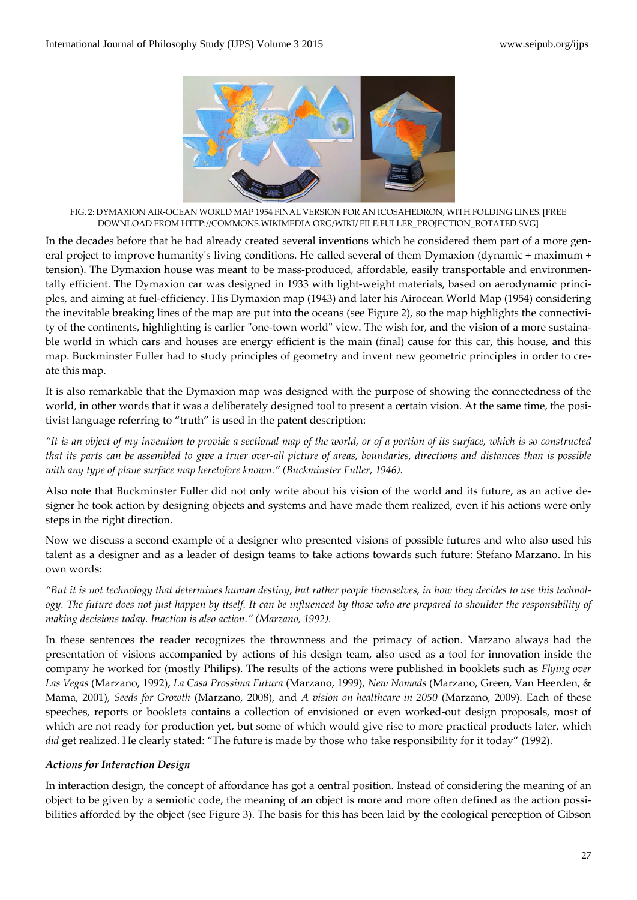

FIG. 2: DYMAXION AIR‐OCEAN WORLD MAP 1954 FINAL VERSION FOR AN ICOSAHEDRON, WITH FOLDING LINES. [FREE DOWNLOAD FROM HTTP://COMMONS.WIKIMEDIA.ORG/WIKI/ FILE:FULLER\_PROJECTION\_ROTATED.SVG]

In the decades before that he had already created several inventions which he considered them part of a more general project to improve humanity's living conditions. He called several of them Dymaxion (dynamic + maximum + tension). The Dymaxion house was meant to be mass-produced, affordable, easily transportable and environmentally efficient. The Dymaxion car was designed in 1933 with light-weight materials, based on aerodynamic principles, and aiming at fuel‐efficiency. His Dymaxion map (1943) and later his Airocean World Map (1954) considering the inevitable breaking lines of the map are put into the oceans (see Figure 2), so the map highlights the connectivity of the continents, highlighting is earlier "one-town world" view. The wish for, and the vision of a more sustainable world in which cars and houses are energy efficient is the main (final) cause for this car, this house, and this map. Buckminster Fuller had to study principles of geometry and invent new geometric principles in order to create this map.

It is also remarkable that the Dymaxion map was designed with the purpose of showing the connectedness of the world, in other words that it was a deliberately designed tool to present a certain vision. At the same time, the positivist language referring to "truth" is used in the patent description:

"It is an object of my invention to provide a sectional map of the world, or of a portion of its surface, which is so constructed that its parts can be assembled to give a truer over-all picture of areas, boundaries, directions and distances than is possible *with any type of plane surface map heretofore known." (Buckminster Fuller, 1946).*

Also note that Buckminster Fuller did not only write about his vision of the world and its future, as an active de‐ signer he took action by designing objects and systems and have made them realized, even if his actions were only steps in the right direction.

Now we discuss a second example of a designer who presented visions of possible futures and who also used his talent as a designer and as a leader of design teams to take actions towards such future: Stefano Marzano. In his own words:

"But it is not technology that determines human destiny, but rather people themselves, in how they decides to use this technology. The future does not just happen by itself. It can be influenced by those who are prepared to shoulder the responsibility of *making decisions today. Inaction is also action." (Marzano, 1992).*

In these sentences the reader recognizes the thrownness and the primacy of action. Marzano always had the presentation of visions accompanied by actions of his design team, also used as a tool for innovation inside the company he worked for (mostly Philips). The results of the actions were published in booklets such as *Flying over Las Vegas* (Marzano, 1992), *La Casa Prossima Futura* (Marzano, 1999), *New Nomads* (Marzano, Green, Van Heerden, & Mama, 2001), *Seeds for Growth* (Marzano, 2008), and *A vision on healthcare in 2050* (Marzano, 2009). Each of these speeches, reports or booklets contains a collection of envisioned or even worked-out design proposals, most of which are not ready for production yet, but some of which would give rise to more practical products later, which *did* get realized. He clearly stated: "The future is made by those who take responsibility for it today" (1992).

#### *Actions for Interaction Design*

In interaction design, the concept of affordance has got a central position. Instead of considering the meaning of an object to be given by a semiotic code, the meaning of an object is more and more often defined as the action possibilities afforded by the object (see Figure 3). The basis for this has been laid by the ecological perception of Gibson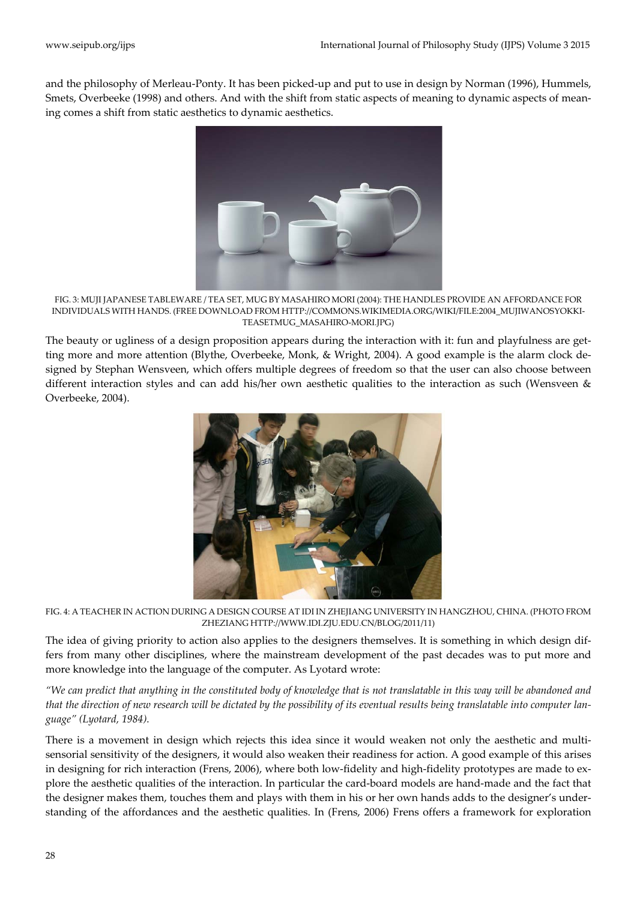and the philosophy of Merleau‐Ponty. It has been picked‐up and put to use in design by Norman (1996), Hummels, Smets, Overbeeke (1998) and others. And with the shift from static aspects of meaning to dynamic aspects of meaning comes a shift from static aesthetics to dynamic aesthetics.



FIG. 3: MUJI JAPANESE TABLEWARE / TEA SET, MUG BY MASAHIRO MORI (2004): THE HANDLES PROVIDE AN AFFORDANCE FOR INDIVIDUALS WITH HANDS. (FREE DOWNLOAD FROM HTTP://COMMONS.WIKIMEDIA.ORG/WIKI/FILE:2004\_MUJIWANOSYOKKI‐ TEASETMUG\_MASAHIRO‐MORI.JPG)

The beauty or ugliness of a design proposition appears during the interaction with it: fun and playfulness are getting more and more attention (Blythe, Overbeeke, Monk, & Wright, 2004). A good example is the alarm clock designed by Stephan Wensveen, which offers multiple degrees of freedom so that the user can also choose between different interaction styles and can add his/her own aesthetic qualities to the interaction as such (Wensveen & Overbeeke, 2004).



FIG. 4: A TEACHER IN ACTION DURING A DESIGN COURSE AT IDI IN ZHEJIANG UNIVERSITY IN HANGZHOU, CHINA. (PHOTO FROM ZHEZIANG HTTP://WWW.IDI.ZJU.EDU.CN/BLOG/2011/11)

The idea of giving priority to action also applies to the designers themselves. It is something in which design differs from many other disciplines, where the mainstream development of the past decades was to put more and more knowledge into the language of the computer. As Lyotard wrote:

"We can predict that anything in the constituted body of knowledge that is not translatable in this way will be abandoned and that the direction of new research will be dictated by the possibility of its eventual results being translatable into computer lan*guage" (Lyotard, 1984).* 

There is a movement in design which rejects this idea since it would weaken not only the aesthetic and multisensorial sensitivity of the designers, it would also weaken their readiness for action. A good example of this arises in designing for rich interaction (Frens, 2006), where both low-fidelity and high-fidelity prototypes are made to explore the aesthetic qualities of the interaction. In particular the card‐board models are hand‐made and the fact that the designer makes them, touches them and plays with them in his or her own hands adds to the designer's under‐ standing of the affordances and the aesthetic qualities. In (Frens, 2006) Frens offers a framework for exploration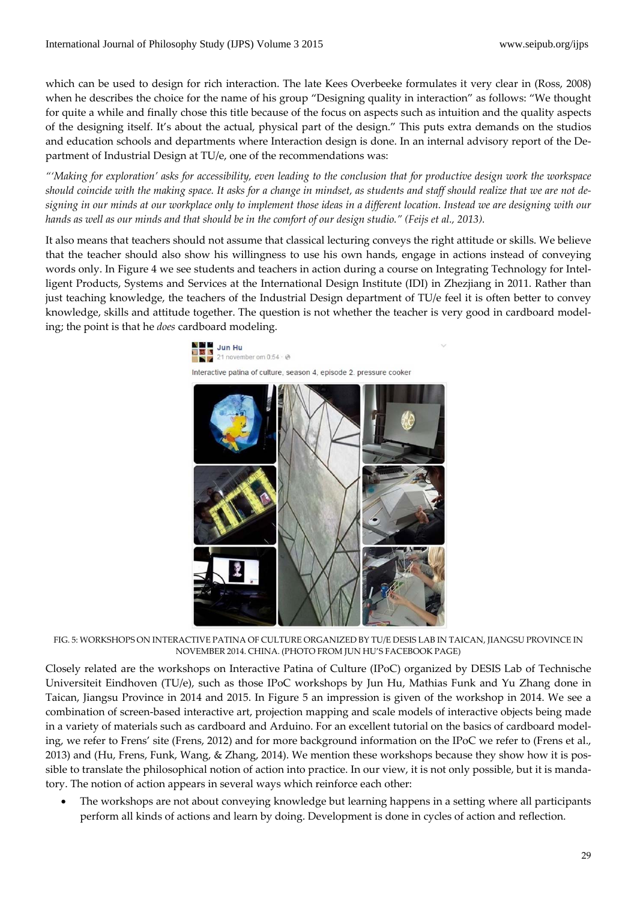which can be used to design for rich interaction. The late Kees Overbeeke formulates it very clear in (Ross, 2008) when he describes the choice for the name of his group "Designing quality in interaction" as follows: "We thought for quite a while and finally chose this title because of the focus on aspects such as intuition and the quality aspects of the designing itself. It's about the actual, physical part of the design." This puts extra demands on the studios and education schools and departments where Interaction design is done. In an internal advisory report of the Department of Industrial Design at TU/e, one of the recommendations was:

"Making for exploration' asks for accessibility, even leading to the conclusion that for productive design work the workspace should coincide with the making space. It asks for a change in mindset, as students and staff should realize that we are not designing in our minds at our workplace only to implement those ideas in a different location. Instead we are designing with our hands as well as our minds and that should be in the comfort of our design studio." (Feijs et al., 2013).

It also means that teachers should not assume that classical lecturing conveys the right attitude or skills. We believe that the teacher should also show his willingness to use his own hands, engage in actions instead of conveying words only. In Figure 4 we see students and teachers in action during a course on Integrating Technology for Intelligent Products, Systems and Services at the International Design Institute (IDI) in Zhezjiang in 2011. Rather than just teaching knowledge, the teachers of the Industrial Design department of TU/e feel it is often better to convey knowledge, skills and attitude together. The question is not whether the teacher is very good in cardboard modeling; the point is that he *does* cardboard modeling.



FIG. 5: WORKSHOPS ON INTERACTIVE PATINA OF CULTURE ORGANIZED BY TU/E DESIS LAB IN TAICAN, JIANGSU PROVINCE IN NOVEMBER 2014. CHINA. (PHOTO FROM JUN HU'S FACEBOOK PAGE)

Closely related are the workshops on Interactive Patina of Culture (IPoC) organized by DESIS Lab of Technische Universiteit Eindhoven (TU/e), such as those IPoC workshops by Jun Hu, Mathias Funk and Yu Zhang done in Taican, Jiangsu Province in 2014 and 2015. In Figure 5 an impression is given of the workshop in 2014. We see a combination of screen‐based interactive art, projection mapping and scale models of interactive objects being made in a variety of materials such as cardboard and Arduino. For an excellent tutorial on the basics of cardboard model‐ ing, we refer to Frens' site (Frens, 2012) and for more background information on the IPoC we refer to (Frens et al., 2013) and (Hu, Frens, Funk, Wang, & Zhang, 2014). We mention these workshops because they show how it is possible to translate the philosophical notion of action into practice. In our view, it is not only possible, but it is mandatory. The notion of action appears in several ways which reinforce each other:

 The workshops are not about conveying knowledge but learning happens in a setting where all participants perform all kinds of actions and learn by doing. Development is done in cycles of action and reflection.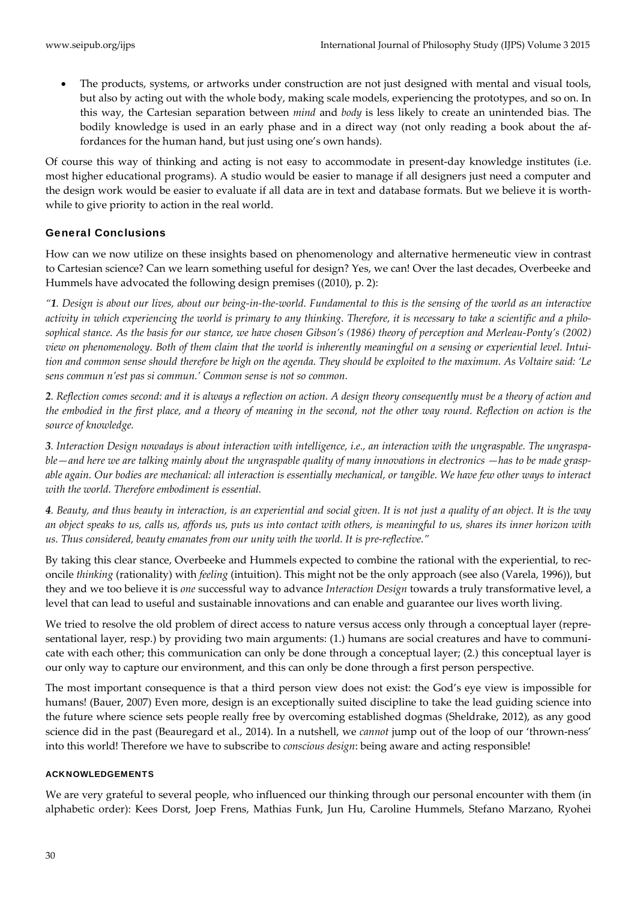The products, systems, or artworks under construction are not just designed with mental and visual tools, but also by acting out with the whole body, making scale models, experiencing the prototypes, and so on. In this way, the Cartesian separation between *mind* and *body* is less likely to create an unintended bias. The bodily knowledge is used in an early phase and in a direct way (not only reading a book about the af‐ fordances for the human hand, but just using one's own hands).

Of course this way of thinking and acting is not easy to accommodate in present-day knowledge institutes (i.e. most higher educational programs). A studio would be easier to manage if all designers just need a computer and the design work would be easier to evaluate if all data are in text and database formats. But we believe it is worthwhile to give priority to action in the real world.

#### General Conclusions

How can we now utilize on these insights based on phenomenology and alternative hermeneutic view in contrast to Cartesian science? Can we learn something useful for design? Yes, we can! Over the last decades, Overbeeke and Hummels have advocated the following design premises ((2010), p. 2):

"1. Design is about our lives, about our being-in-the-world. Fundamental to this is the sensing of the world as an interactive activity in which experiencing the world is primary to any thinking. Therefore, it is necessary to take a scientific and a philosophical stance. As the basis for our stance, we have chosen Gibson's (1986) theory of perception and Merleau-Ponty's (2002) view on phenomenology. Both of them claim that the world is inherently meaningful on a sensing or experiential level. Intuition and common sense should therefore be high on the agenda. They should be exploited to the maximum. As Voltaire said: 'Le *sens commun n'est pas si commun.' Common sense is not so common.*

2. Reflection comes second: and it is always a reflection on action. A design theory consequently must be a theory of action and the embodied in the first place, and a theory of meaning in the second, not the other way round. Reflection on action is the *source of knowledge.*

3. Interaction Design nowadays is about interaction with intelligence, i.e., an interaction with the ungraspable. The ungraspable—and here we are talking mainly about the ungraspable quality of many innovations in electronics —has to be made graspable again. Our bodies are mechanical: all interaction is essentially mechanical, or tangible. We have few other ways to interact *with the world. Therefore embodiment is essential.*

4. Beauty, and thus beauty in interaction, is an experiential and social given. It is not just a quality of an object. It is the way an object speaks to us, calls us, affords us, puts us into contact with others, is meaningful to us, shares its inner horizon with *us. Thus considered, beauty emanates from our unity with the world. It is pre‐reflective."*

By taking this clear stance, Overbeeke and Hummels expected to combine the rational with the experiential, to reconcile *thinking* (rationality) with *feeling* (intuition). This might not be the only approach (see also (Varela, 1996)), but they and we too believe it is *one* successful way to advance *Interaction Design* towards a truly transformative level, a level that can lead to useful and sustainable innovations and can enable and guarantee our lives worth living.

We tried to resolve the old problem of direct access to nature versus access only through a conceptual layer (representational layer, resp.) by providing two main arguments: (1.) humans are social creatures and have to communicate with each other; this communication can only be done through a conceptual layer; (2.) this conceptual layer is our only way to capture our environment, and this can only be done through a first person perspective.

The most important consequence is that a third person view does not exist: the God's eye view is impossible for humans! (Bauer, 2007) Even more, design is an exceptionally suited discipline to take the lead guiding science into the future where science sets people really free by overcoming established dogmas (Sheldrake, 2012), as any good science did in the past (Beauregard et al., 2014). In a nutshell, we *cannot* jump out of the loop of our 'thrown‐ness' into this world! Therefore we have to subscribe to *conscious design*: being aware and acting responsible!

#### ACKNOWLEDGEMENTS

We are very grateful to several people, who influenced our thinking through our personal encounter with them (in alphabetic order): Kees Dorst, Joep Frens, Mathias Funk, Jun Hu, Caroline Hummels, Stefano Marzano, Ryohei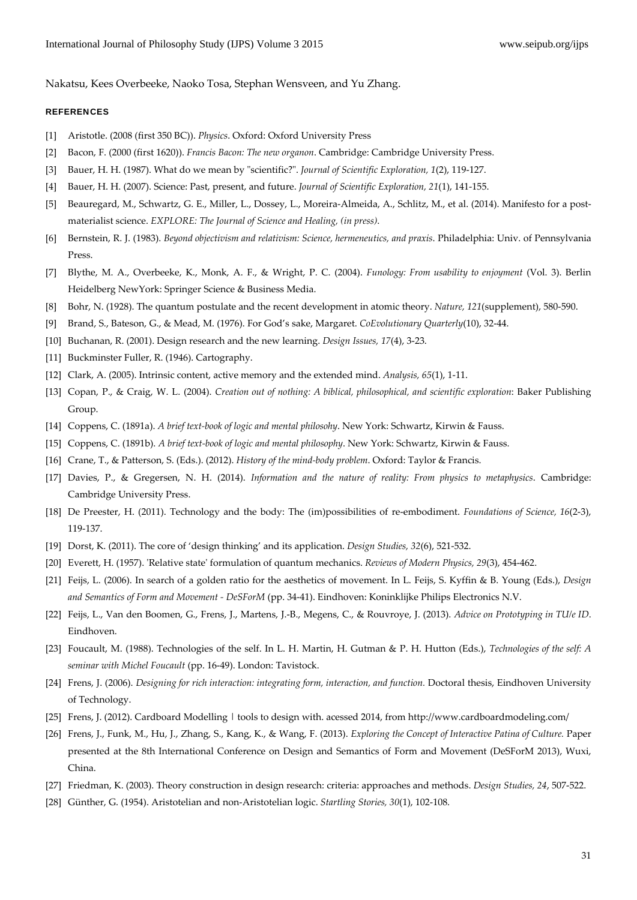Nakatsu, Kees Overbeeke, Naoko Tosa, Stephan Wensveen, and Yu Zhang.

#### REFERENCES

- [1] Aristotle. (2008 (first 350 BC)). *Physics*. Oxford: Oxford University Press
- [2] Bacon, F. (2000 (first 1620)). *Francis Bacon: The new organon*. Cambridge: Cambridge University Press.
- [3] Bauer, H. H. (1987). What do we mean by "scientific?". *Journal of Scientific Exploration*, 1(2), 119-127.
- [4] Bauer, H. H. (2007). Science: Past, present, and future. *Journal of Scientific Exploration, 21*(1), 141‐155.
- [5] Beauregard, M., Schwartz, G. E., Miller, L., Dossey, L., Moreira-Almeida, A., Schlitz, M., et al. (2014). Manifesto for a postmaterialist science. *EXPLORE: The Journal of Science and Healing, (in press)*.
- [6] Bernstein, R. J. (1983). *Beyond objectivism and relativism: Science, hermeneutics, and praxis*. Philadelphia: Univ. of Pennsylvania Press.
- [7] Blythe, M. A., Overbeeke, K., Monk, A. F., & Wright, P. C. (2004). *Funology: From usability to enjoyment* (Vol. 3). Berlin Heidelberg NewYork: Springer Science & Business Media.
- [8] Bohr, N. (1928). The quantum postulate and the recent development in atomic theory. *Nature, 121*(supplement), 580‐590.
- [9] Brand, S., Bateson, G., & Mead, M. (1976). For God's sake, Margaret. *CoEvolutionary Quarterly*(10), 32‐44.
- [10] Buchanan, R. (2001). Design research and the new learning. *Design Issues, 17*(4), 3‐23.
- [11] Buckminster Fuller, R. (1946). Cartography.
- [12] Clark, A. (2005). Intrinsic content, active memory and the extended mind. *Analysis, 65*(1), 1‐11.
- [13] Copan, P., & Craig, W. L. (2004). *Creation out of nothing: A biblical, philosophical, and scientific exploration*: Baker Publishing Group.
- [14] Coppens, C. (1891a). *A brief text‐book of logic and mental philosohy*. New York: Schwartz, Kirwin & Fauss.
- [15] Coppens, C. (1891b). *A brief text‐book of logic and mental philosophy*. New York: Schwartz, Kirwin & Fauss.
- [16] Crane, T., & Patterson, S. (Eds.). (2012). *History of the mind‐body problem*. Oxford: Taylor & Francis.
- [17] Davies, P., & Gregersen, N. H. (2014). *Information and the nature of reality: From physics to metaphysics*. Cambridge: Cambridge University Press.
- [18] De Preester, H. (2011). Technology and the body: The (im)possibilities of re‐embodiment. *Foundations of Science, 16*(2‐3), 119‐137.
- [19] Dorst, K. (2011). The core of 'design thinking' and its application. *Design Studies, 32*(6), 521‐532.
- [20] Everett, H. (1957). ʹRelative stateʹ formulation of quantum mechanics. *Reviews of Modern Physics, 29*(3), 454‐462.
- [21] Feijs, L. (2006). In search of a golden ratio for the aesthetics of movement. In L. Feijs, S. Kyffin & B. Young (Eds.), *Design and Semantics of Form and Movement ‐ DeSForM* (pp. 34‐41). Eindhoven: Koninklijke Philips Electronics N.V.
- [22] Feijs, L., Van den Boomen, G., Frens, J., Martens, J.‐B., Megens, C., & Rouvroye, J. (2013). *Advice on Prototyping in TU/e ID*. Eindhoven.
- [23] Foucault, M. (1988). Technologies of the self. In L. H. Martin, H. Gutman & P. H. Hutton (Eds.), *Technologies of the self: A seminar with Michel Foucault* (pp. 16‐49). London: Tavistock.
- [24] Frens, J. (2006). *Designing for rich interaction: integrating form, interaction, and function.* Doctoral thesis, Eindhoven University of Technology.
- [25] Frens, J. (2012). Cardboard Modelling | tools to design with. acessed 2014, from http://www.cardboardmodeling.com/
- [26] Frens, J., Funk, M., Hu, J., Zhang, S., Kang, K., & Wang, F. (2013). *Exploring the Concept of Interactive Patina of Culture.* Paper presented at the 8th International Conference on Design and Semantics of Form and Movement (DeSForM 2013), Wuxi, China.
- [27] Friedman, K. (2003). Theory construction in design research: criteria: approaches and methods. *Design Studies, 24*, 507‐522.
- [28] Günther, G. (1954). Aristotelian and non‐Aristotelian logic. *Startling Stories, 30*(1), 102‐108.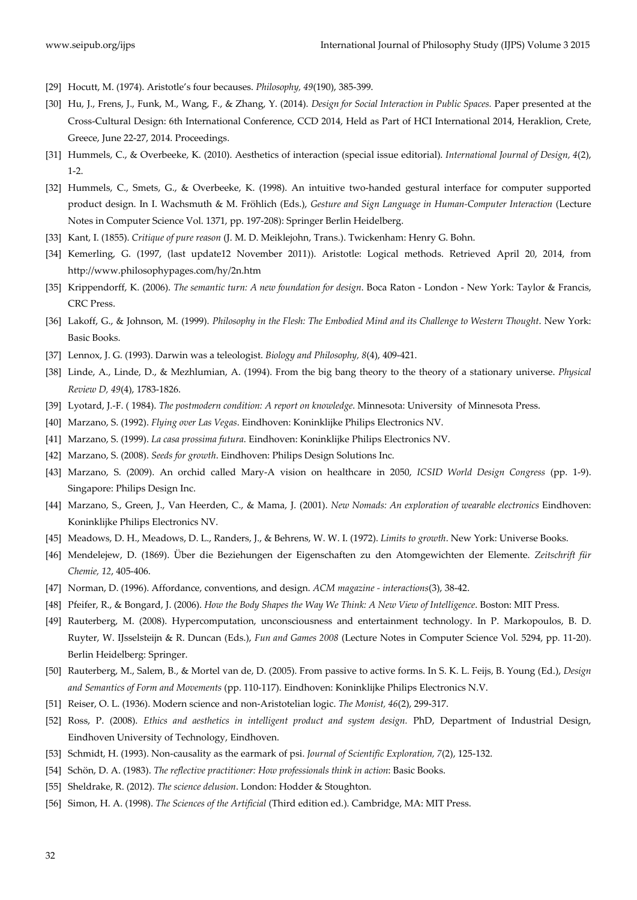- [29] Hocutt, M. (1974). Aristotle's four becauses. *Philosophy, 49*(190), 385‐399.
- [30] Hu, J., Frens, J., Funk, M., Wang, F., & Zhang, Y. (2014). *Design for Social Interaction in Public Spaces.* Paper presented at the Cross‐Cultural Design: 6th International Conference, CCD 2014, Held as Part of HCI International 2014, Heraklion, Crete, Greece, June 22‐27, 2014. Proceedings.
- [31] Hummels, C., & Overbeeke, K. (2010). Aesthetics of interaction (special issue editorial). *International Journal of Design, 4*(2), 1‐2.
- [32] Hummels, C., Smets, G., & Overbeeke, K. (1998). An intuitive two-handed gestural interface for computer supported product design. In I. Wachsmuth & M. Fröhlich (Eds.), *Gesture and Sign Language in Human‐Computer Interaction* (Lecture Notes in Computer Science Vol. 1371, pp. 197‐208): Springer Berlin Heidelberg.
- [33] Kant, I. (1855). *Critique of pure reason* (J. M. D. Meiklejohn, Trans.). Twickenham: Henry G. Bohn.
- [34] Kemerling, G. (1997, (last update12 November 2011)). Aristotle: Logical methods. Retrieved April 20, 2014, from http://www.philosophypages.com/hy/2n.htm
- [35] Krippendorff, K. (2006). *The semantic turn: A new foundation for design*. Boca Raton ‐ London ‐ New York: Taylor & Francis, CRC Press.
- [36] Lakoff, G., & Johnson, M. (1999). *Philosophy in the Flesh: The Embodied Mind and its Challenge to Western Thought*. New York: Basic Books.
- [37] Lennox, J. G. (1993). Darwin was a teleologist. *Biology and Philosophy, 8*(4), 409‐421.
- [38] Linde, A., Linde, D., & Mezhlumian, A. (1994). From the big bang theory to the theory of a stationary universe. *Physical Review D, 49*(4), 1783‐1826.
- [39] Lyotard, J.‐F. ( 1984). *The postmodern condition: A report on knowledge*. Minnesota: University of Minnesota Press.
- [40] Marzano, S. (1992). *Flying over Las Vegas*. Eindhoven: Koninklijke Philips Electronics NV.
- [41] Marzano, S. (1999). *La casa prossima futura*. Eindhoven: Koninklijke Philips Electronics NV.
- [42] Marzano, S. (2008). *Seeds for growth*. Eindhoven: Philips Design Solutions Inc.
- [43] Marzano, S. (2009). An orchid called Mary‐A vision on healthcare in 2050, *ICSID World Design Congress* (pp. 1‐9). Singapore: Philips Design Inc.
- [44] Marzano, S., Green, J., Van Heerden, C., & Mama, J. (2001). *New Nomads: An exploration of wearable electronics* Eindhoven: Koninklijke Philips Electronics NV.
- [45] Meadows, D. H., Meadows, D. L., Randers, J., & Behrens, W. W. I. (1972). *Limits to growth*. New York: Universe Books.
- [46] Mendelejew, D. (1869). Über die Beziehungen der Eigenschaften zu den Atomgewichten der Elemente. *Zeitschrift für Chemie, 12*, 405‐406.
- [47] Norman, D. (1996). Affordance, conventions, and design. *ACM magazine ‐ interactions*(3), 38‐42.
- [48] Pfeifer, R., & Bongard, J. (2006). *How the Body Shapes the Way We Think: A New View of Intelligence*. Boston: MIT Press.
- [49] Rauterberg, M. (2008). Hypercomputation, unconsciousness and entertainment technology. In P. Markopoulos, B. D. Ruyter, W. IJsselsteijn & R. Duncan (Eds.), *Fun and Games 2008* (Lecture Notes in Computer Science Vol. 5294, pp. 11‐20). Berlin Heidelberg: Springer.
- [50] Rauterberg, M., Salem, B., & Mortel van de, D. (2005). From passive to active forms. In S. K. L. Feijs, B. Young (Ed.), *Design and Semantics of Form and Movements* (pp. 110‐117). Eindhoven: Koninklijke Philips Electronics N.V.
- [51] Reiser, O. L. (1936). Modern science and non‐Aristotelian logic. *The Monist, 46*(2), 299‐317.
- [52] Ross, P. (2008). *Ethics and aesthetics in intelligent product and system design.* PhD, Department of Industrial Design, Eindhoven University of Technology, Eindhoven.
- [53] Schmidt, H. (1993). Non‐causality as the earmark of psi. *Journal of Scientific Exploration, 7*(2), 125‐132.
- [54] Schön, D. A. (1983). *The reflective practitioner: How professionals think in action*: Basic Books.
- [55] Sheldrake, R. (2012). *The science delusion*. London: Hodder & Stoughton.
- [56] Simon, H. A. (1998). *The Sciences of the Artificial* (Third edition ed.). Cambridge, MA: MIT Press.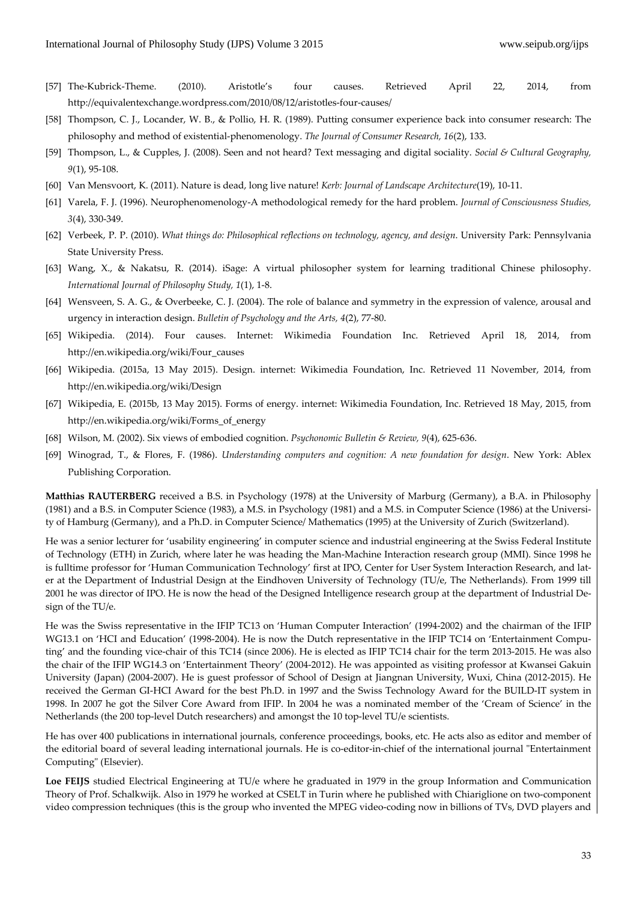- [57] The‐Kubrick‐Theme. (2010). Aristotle's four causes. Retrieved April 22, 2014, from http://equivalentexchange.wordpress.com/2010/08/12/aristotles‐four‐causes/
- [58] Thompson, C. J., Locander, W. B., & Pollio, H. R. (1989). Putting consumer experience back into consumer research: The philosophy and method of existential‐phenomenology. *The Journal of Consumer Research, 16*(2), 133.
- [59] Thompson, L., & Cupples, J. (2008). Seen and not heard? Text messaging and digital sociality. *Social & Cultural Geography, 9*(1), 95‐108.
- [60] Van Mensvoort, K. (2011). Nature is dead, long live nature! *Kerb: Journal of Landscape Architecture*(19), 10‐11.
- [61] Varela, F. J. (1996). Neurophenomenology‐A methodological remedy for the hard problem. *Journal of Consciousness Studies, 3*(4), 330‐349.
- [62] Verbeek, P. P. (2010). *What things do: Philosophical reflections on technology, agency, and design*. University Park: Pennsylvania State University Press.
- [63] Wang, X., & Nakatsu, R. (2014). iSage: A virtual philosopher system for learning traditional Chinese philosophy. *International Journal of Philosophy Study, 1*(1), 1‐8.
- [64] Wensveen, S. A. G., & Overbeeke, C. J. (2004). The role of balance and symmetry in the expression of valence, arousal and urgency in interaction design. *Bulletin of Psychology and the Arts, 4*(2), 77‐80.
- [65] Wikipedia. (2014). Four causes. Internet: Wikimedia Foundation Inc. Retrieved April 18, 2014, from http://en.wikipedia.org/wiki/Four\_causes
- [66] Wikipedia. (2015a, 13 May 2015). Design. internet: Wikimedia Foundation, Inc. Retrieved 11 November, 2014, from http://en.wikipedia.org/wiki/Design
- [67] Wikipedia, E. (2015b, 13 May 2015). Forms of energy. internet: Wikimedia Foundation, Inc. Retrieved 18 May, 2015, from http://en.wikipedia.org/wiki/Forms\_of\_energy
- [68] Wilson, M. (2002). Six views of embodied cognition. *Psychonomic Bulletin & Review, 9*(4), 625‐636.
- [69] Winograd, T., & Flores, F. (1986). *Understanding computers and cognition: A new foundation for design*. New York: Ablex Publishing Corporation.

**Matthias RAUTERBERG** received a B.S. in Psychology (1978) at the University of Marburg (Germany), a B.A. in Philosophy (1981) and a B.S. in Computer Science (1983), a M.S. in Psychology (1981) and a M.S. in Computer Science (1986) at the Universi‐ ty of Hamburg (Germany), and a Ph.D. in Computer Science/ Mathematics (1995) at the University of Zurich (Switzerland).

He was a senior lecturer for 'usability engineering' in computer science and industrial engineering at the Swiss Federal Institute of Technology (ETH) in Zurich, where later he was heading the Man‐Machine Interaction research group (MMI). Since 1998 he is fulltime professor for 'Human Communication Technology' first at IPO, Center for User System Interaction Research, and later at the Department of Industrial Design at the Eindhoven University of Technology (TU/e, The Netherlands). From 1999 till 2001 he was director of IPO. He is now the head of the Designed Intelligence research group at the department of Industrial De‐ sign of the TU/e.

He was the Swiss representative in the IFIP TC13 on 'Human Computer Interaction' (1994‐2002) and the chairman of the IFIP WG13.1 on 'HCI and Education' (1998-2004). He is now the Dutch representative in the IFIP TC14 on 'Entertainment Computing' and the founding vice-chair of this TC14 (since 2006). He is elected as IFIP TC14 chair for the term 2013-2015. He was also the chair of the IFIP WG14.3 on 'Entertainment Theory' (2004‐2012). He was appointed as visiting professor at Kwansei Gakuin University (Japan) (2004‐2007). He is guest professor of School of Design at Jiangnan University, Wuxi, China (2012‐2015). He received the German GI-HCI Award for the best Ph.D. in 1997 and the Swiss Technology Award for the BUILD-IT system in 1998. In 2007 he got the Silver Core Award from IFIP. In 2004 he was a nominated member of the 'Cream of Science' in the Netherlands (the 200 top‐level Dutch researchers) and amongst the 10 top‐level TU/e scientists.

He has over 400 publications in international journals, conference proceedings, books, etc. He acts also as editor and member of the editorial board of several leading international journals. He is co-editor-in-chief of the international journal "Entertainment" Computingʺ (Elsevier).

**Loe FEIJS** studied Electrical Engineering at TU/e where he graduated in 1979 in the group Information and Communication Theory of Prof. Schalkwijk. Also in 1979 he worked at CSELT in Turin where he published with Chiariglione on two‐component video compression techniques (this is the group who invented the MPEG video‐coding now in billions of TVs, DVD players and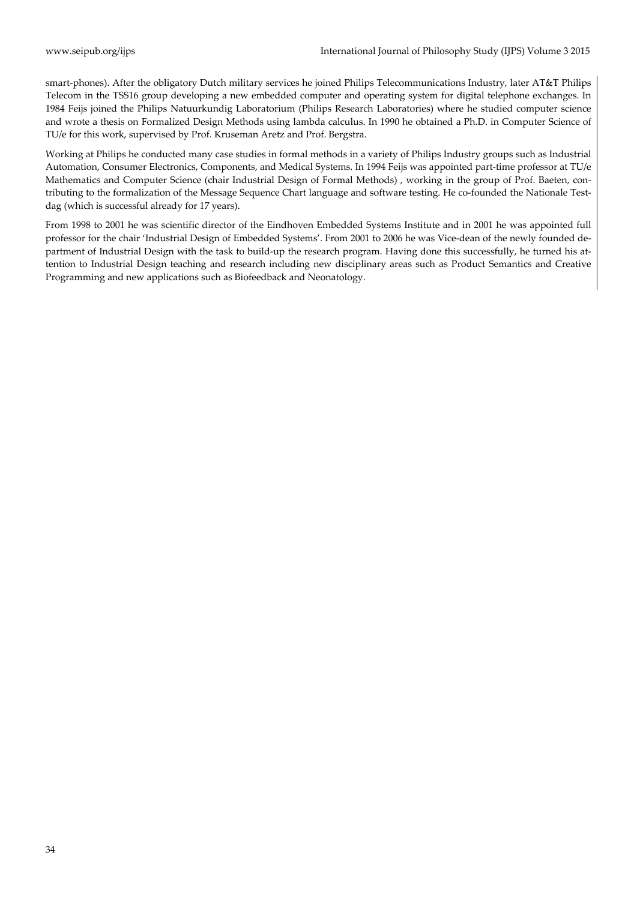smart-phones). After the obligatory Dutch military services he joined Philips Telecommunications Industry, later AT&T Philips Telecom in the TSS16 group developing a new embedded computer and operating system for digital telephone exchanges. In 1984 Feijs joined the Philips Natuurkundig Laboratorium (Philips Research Laboratories) where he studied computer science and wrote a thesis on Formalized Design Methods using lambda calculus. In 1990 he obtained a Ph.D. in Computer Science of TU/e for this work, supervised by Prof. Kruseman Aretz and Prof. Bergstra.

Working at Philips he conducted many case studies in formal methods in a variety of Philips Industry groups such as Industrial Automation, Consumer Electronics, Components, and Medical Systems. In 1994 Feijs was appointed part-time professor at TU/e Mathematics and Computer Science (chair Industrial Design of Formal Methods), working in the group of Prof. Baeten, contributing to the formalization of the Message Sequence Chart language and software testing. He co-founded the Nationale Testdag (which is successful already for 17 years).

From 1998 to 2001 he was scientific director of the Eindhoven Embedded Systems Institute and in 2001 he was appointed full professor for the chair 'Industrial Design of Embedded Systems'. From 2001 to 2006 he was Vice-dean of the newly founded department of Industrial Design with the task to build-up the research program. Having done this successfully, he turned his attention to Industrial Design teaching and research including new disciplinary areas such as Product Semantics and Creative Programming and new applications such as Biofeedback and Neonatology.